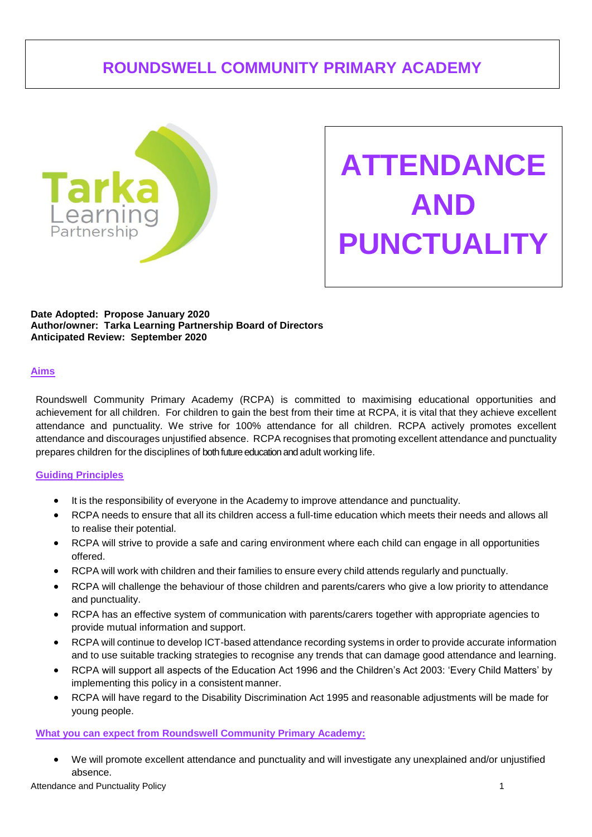# **ROUNDSWELL COMMUNITY PRIMARY ACADEMY**



**ATTENDANCE AND PUNCTUALITY**

**Date Adopted: Propose January 2020 Author/owner: Tarka Learning Partnership Board of Directors Anticipated Review: September 2020**

#### **Aims**

Roundswell Community Primary Academy (RCPA) is committed to maximising educational opportunities and achievement for all children. For children to gain the best from their time at RCPA, it is vital that they achieve excellent attendance and punctuality. We strive for 100% attendance for all children. RCPA actively promotes excellent attendance and discourages unjustified absence. RCPA recognises that promoting excellent attendance and punctuality prepares children for the disciplines of both future education and adult working life.

#### **Guiding Principles**

- It is the responsibility of everyone in the Academy to improve attendance and punctuality.
- RCPA needs to ensure that all its children access a full-time education which meets their needs and allows all to realise their potential.
- RCPA will strive to provide a safe and caring environment where each child can engage in all opportunities offered.
- RCPA will work with children and their families to ensure every child attends regularly and punctually.
- RCPA will challenge the behaviour of those children and parents/carers who give a low priority to attendance and punctuality.
- RCPA has an effective system of communication with parents/carers together with appropriate agencies to provide mutual information and support.
- RCPA will continue to develop ICT-based attendance recording systems in order to provide accurate information and to use suitable tracking strategies to recognise any trends that can damage good attendance and learning.
- RCPA will support all aspects of the Education Act 1996 and the Children's Act 2003: 'Every Child Matters' by implementing this policy in a consistent manner.
- RCPA will have regard to the Disability Discrimination Act 1995 and reasonable adjustments will be made for young people.

## **What you can expect from Roundswell Community Primary Academy:**

• We will promote excellent attendance and punctuality and will investigate any unexplained and/or unjustified absence.

Attendance and Punctuality Policy 1 and 2008 1 and 2008 1 and 2008 1 and 2008 1 and 2008 1 and 2008 1 and 2008 1 and 2008 1 and 2008 1 and 2008 1 and 2008 1 and 2008 1 and 2008 1 and 2008 1 and 2008 1 and 2008 1 and 2008 1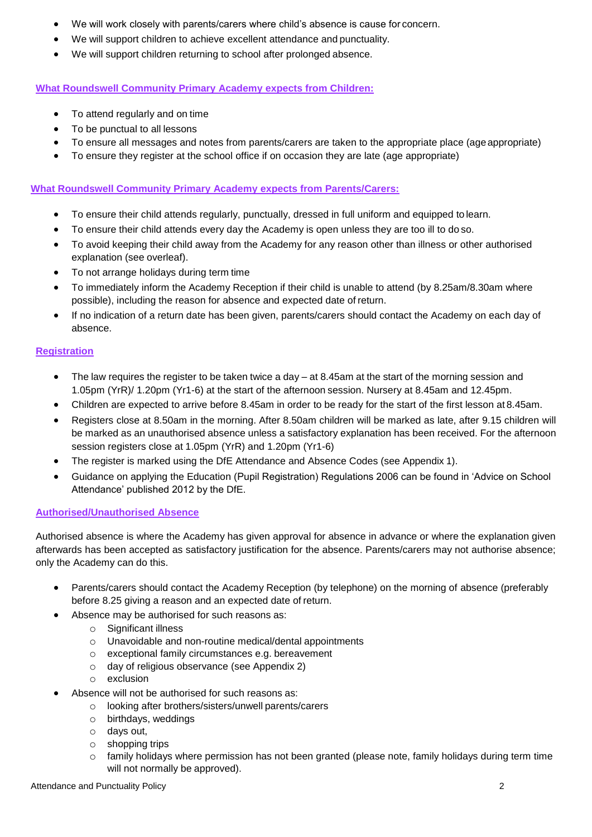- We will work closely with parents/carers where child's absence is cause for concern.
- We will support children to achieve excellent attendance and punctuality.
- We will support children returning to school after prolonged absence.

## **What Roundswell Community Primary Academy expects from Children:**

- To attend regularly and on time
- To be punctual to all lessons
- To ensure all messages and notes from parents/carers are taken to the appropriate place (ageappropriate)
- To ensure they register at the school office if on occasion they are late (age appropriate)

#### **What Roundswell Community Primary Academy expects from Parents/Carers:**

- To ensure their child attends regularly, punctually, dressed in full uniform and equipped to learn.
- To ensure their child attends every day the Academy is open unless they are too ill to do so.
- To avoid keeping their child away from the Academy for any reason other than illness or other authorised explanation (see overleaf).
- To not arrange holidays during term time
- To immediately inform the Academy Reception if their child is unable to attend (by 8.25am/8.30am where possible), including the reason for absence and expected date of return.
- If no indication of a return date has been given, parents/carers should contact the Academy on each day of absence.

## **Registration**

- The law requires the register to be taken twice a day  $-$  at 8.45am at the start of the morning session and 1.05pm (YrR)/ 1.20pm (Yr1-6) at the start of the afternoon session. Nursery at 8.45am and 12.45pm.
- Children are expected to arrive before 8.45am in order to be ready for the start of the first lesson at 8.45am.
- Registers close at 8.50am in the morning. After 8.50am children will be marked as late, after 9.15 children will be marked as an unauthorised absence unless a satisfactory explanation has been received. For the afternoon session registers close at 1.05pm (YrR) and 1.20pm (Yr1-6)
- The register is marked using the DfE Attendance and Absence Codes (see Appendix 1).
- Guidance on applying the Education (Pupil Registration) Regulations 2006 can be found in 'Advice on School Attendance' published 2012 by the DfE.

## **Authorised/Unauthorised Absence**

Authorised absence is where the Academy has given approval for absence in advance or where the explanation given afterwards has been accepted as satisfactory justification for the absence. Parents/carers may not authorise absence; only the Academy can do this.

- Parents/carers should contact the Academy Reception (by telephone) on the morning of absence (preferably before 8.25 giving a reason and an expected date of return.
- Absence may be authorised for such reasons as:
	- o Significant illness
	- o Unavoidable and non-routine medical/dental appointments
	- o exceptional family circumstances e.g. bereavement
	- o day of religious observance (see Appendix 2)
	- o exclusion
- Absence will not be authorised for such reasons as:
	- o looking after brothers/sisters/unwell parents/carers
	- o birthdays, weddings
	- o days out,
	- o shopping trips
	- $\circ$  family holidays where permission has not been granted (please note, family holidays during term time will not normally be approved).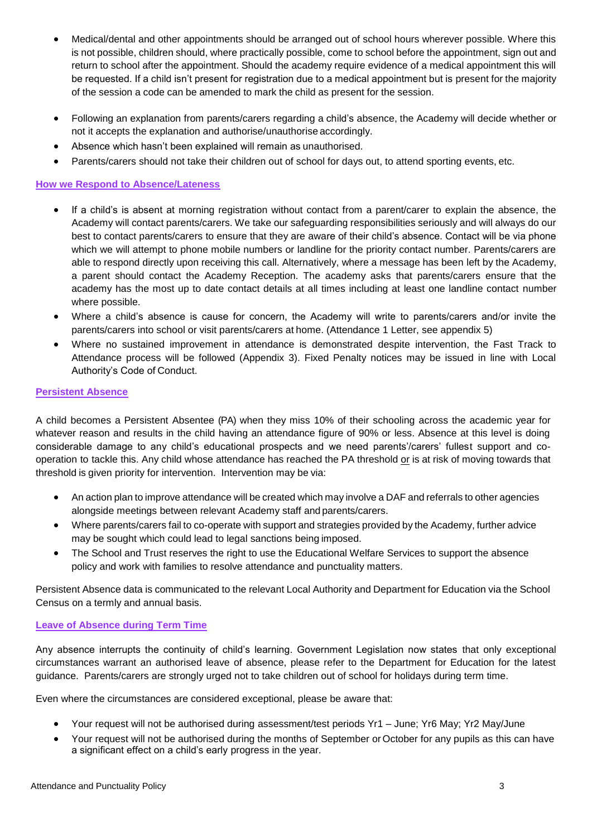- Medical/dental and other appointments should be arranged out of school hours wherever possible. Where this is not possible, children should, where practically possible, come to school before the appointment, sign out and return to school after the appointment. Should the academy require evidence of a medical appointment this will be requested. If a child isn't present for registration due to a medical appointment but is present for the majority of the session a code can be amended to mark the child as present for the session.
- Following an explanation from parents/carers regarding a child's absence, the Academy will decide whether or not it accepts the explanation and authorise/unauthorise accordingly.
- Absence which hasn't been explained will remain as unauthorised.
- Parents/carers should not take their children out of school for days out, to attend sporting events, etc.

## **How we Respond to Absence/Lateness**

- If a child's is absent at morning registration without contact from a parent/carer to explain the absence, the Academy will contact parents/carers. We take our safeguarding responsibilities seriously and will always do our best to contact parents/carers to ensure that they are aware of their child's absence. Contact will be via phone which we will attempt to phone mobile numbers or landline for the priority contact number. Parents/carers are able to respond directly upon receiving this call. Alternatively, where a message has been left by the Academy, a parent should contact the Academy Reception. The academy asks that parents/carers ensure that the academy has the most up to date contact details at all times including at least one landline contact number where possible.
- Where a child's absence is cause for concern, the Academy will write to parents/carers and/or invite the parents/carers into school or visit parents/carers at home. (Attendance 1 Letter, see appendix 5)
- Where no sustained improvement in attendance is demonstrated despite intervention, the Fast Track to Attendance process will be followed (Appendix 3). Fixed Penalty notices may be issued in line with Local Authority's Code of Conduct.

#### **Persistent Absence**

A child becomes a Persistent Absentee (PA) when they miss 10% of their schooling across the academic year for whatever reason and results in the child having an attendance figure of 90% or less. Absence at this level is doing considerable damage to any child's educational prospects and we need parents'/carers' fullest support and cooperation to tackle this. Any child whose attendance has reached the PA threshold or is at risk of moving towards that threshold is given priority for intervention. Intervention may be via:

- An action plan to improve attendance will be created which may involve a DAF and referrals to other agencies alongside meetings between relevant Academy staff and parents/carers.
- Where parents/carers fail to co-operate with support and strategies provided by the Academy, further advice may be sought which could lead to legal sanctions being imposed.
- The School and Trust reserves the right to use the Educational Welfare Services to support the absence policy and work with families to resolve attendance and punctuality matters.

Persistent Absence data is communicated to the relevant Local Authority and Department for Education via the School Census on a termly and annual basis.

## **Leave of Absence during Term Time**

Any absence interrupts the continuity of child's learning. Government Legislation now states that only exceptional circumstances warrant an authorised leave of absence, please refer to the Department for Education for the latest guidance. Parents/carers are strongly urged not to take children out of school for holidays during term time.

Even where the circumstances are considered exceptional, please be aware that:

- Your request will not be authorised during assessment/test periods Yr1 June; Yr6 May; Yr2 May/June
- Your request will not be authorised during the months of September or October for any pupils as this can have a significant effect on a child's early progress in the year.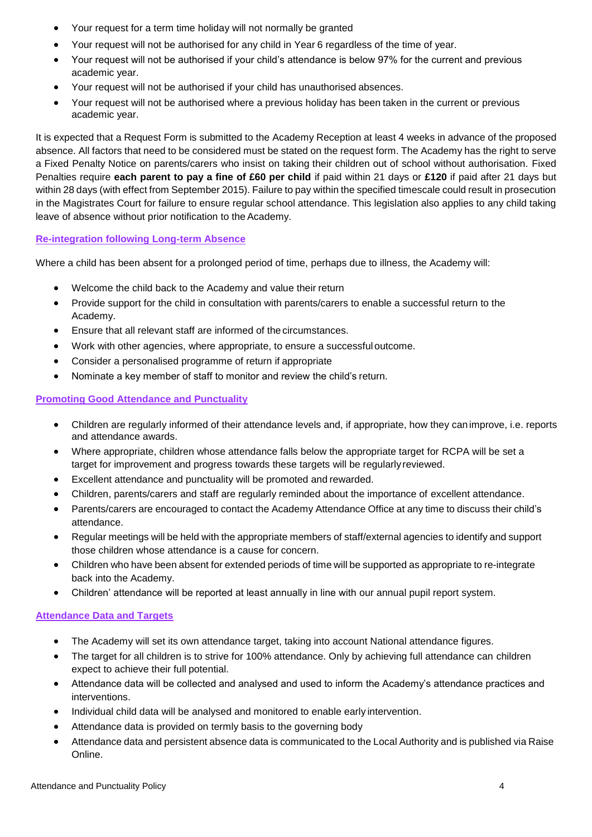- Your request for a term time holiday will not normally be granted
- Your request will not be authorised for any child in Year 6 regardless of the time of year.
- Your request will not be authorised if your child's attendance is below 97% for the current and previous academic year.
- Your request will not be authorised if your child has unauthorised absences.
- Your request will not be authorised where a previous holiday has been taken in the current or previous academic year.

It is expected that a Request Form is submitted to the Academy Reception at least 4 weeks in advance of the proposed absence. All factors that need to be considered must be stated on the request form. The Academy has the right to serve a Fixed Penalty Notice on parents/carers who insist on taking their children out of school without authorisation. Fixed Penalties require **each parent to pay a fine of £60 per child** if paid within 21 days or **£120** if paid after 21 days but within 28 days (with effect from September 2015). Failure to pay within the specified timescale could result in prosecution in the Magistrates Court for failure to ensure regular school attendance. This legislation also applies to any child taking leave of absence without prior notification to the Academy.

## **Re-integration following Long-term Absence**

Where a child has been absent for a prolonged period of time, perhaps due to illness, the Academy will:

- Welcome the child back to the Academy and value their return
- Provide support for the child in consultation with parents/carers to enable a successful return to the Academy.
- Ensure that all relevant staff are informed of the circumstances.
- Work with other agencies, where appropriate, to ensure a successful outcome.
- Consider a personalised programme of return if appropriate
- Nominate a key member of staff to monitor and review the child's return.

## **Promoting Good Attendance and Punctuality**

- Children are regularly informed of their attendance levels and, if appropriate, how they canimprove, i.e. reports and attendance awards.
- Where appropriate, children whose attendance falls below the appropriate target for RCPA will be set a target for improvement and progress towards these targets will be regularlyreviewed.
- Excellent attendance and punctuality will be promoted and rewarded.
- Children, parents/carers and staff are regularly reminded about the importance of excellent attendance.
- Parents/carers are encouraged to contact the Academy Attendance Office at any time to discuss their child's attendance.
- Regular meetings will be held with the appropriate members of staff/external agencies to identify and support those children whose attendance is a cause for concern.
- Children who have been absent for extended periods of time will be supported as appropriate to re-integrate back into the Academy.
- Children' attendance will be reported at least annually in line with our annual pupil report system.

## **Attendance Data and Targets**

- The Academy will set its own attendance target, taking into account National attendance figures.
- The target for all children is to strive for 100% attendance. Only by achieving full attendance can children expect to achieve their full potential.
- Attendance data will be collected and analysed and used to inform the Academy's attendance practices and interventions.
- Individual child data will be analysed and monitored to enable early intervention.
- Attendance data is provided on termly basis to the governing body
- Attendance data and persistent absence data is communicated to the Local Authority and is published via Raise Online.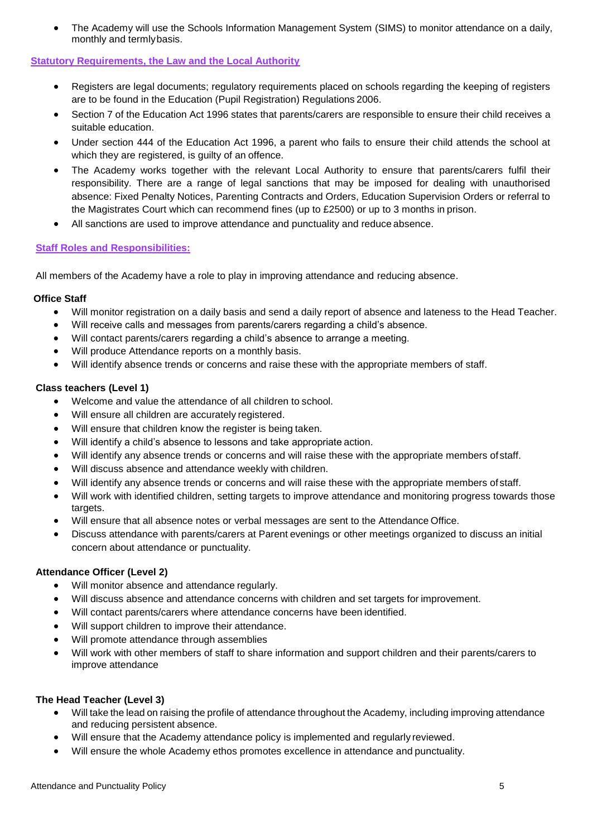• The Academy will use the Schools Information Management System (SIMS) to monitor attendance on a daily, monthly and termlybasis.

## **Statutory Requirements, the Law and the Local Authority**

- Registers are legal documents; regulatory requirements placed on schools regarding the keeping of registers are to be found in the Education (Pupil Registration) Regulations 2006.
- Section 7 of the Education Act 1996 states that parents/carers are responsible to ensure their child receives a suitable education.
- Under section 444 of the Education Act 1996, a parent who fails to ensure their child attends the school at which they are registered, is guilty of an offence.
- The Academy works together with the relevant Local Authority to ensure that parents/carers fulfil their responsibility. There are a range of legal sanctions that may be imposed for dealing with unauthorised absence: Fixed Penalty Notices, Parenting Contracts and Orders, Education Supervision Orders or referral to the Magistrates Court which can recommend fines (up to £2500) or up to 3 months in prison.
- All sanctions are used to improve attendance and punctuality and reduce absence.

#### **Staff Roles and Responsibilities:**

All members of the Academy have a role to play in improving attendance and reducing absence.

#### **Office Staff**

- Will monitor registration on a daily basis and send a daily report of absence and lateness to the Head Teacher.
- Will receive calls and messages from parents/carers regarding a child's absence.
- Will contact parents/carers regarding a child's absence to arrange a meeting.
- Will produce Attendance reports on a monthly basis.
- Will identify absence trends or concerns and raise these with the appropriate members of staff.

## **Class teachers (Level 1)**

- Welcome and value the attendance of all children to school.
- Will ensure all children are accurately registered.
- Will ensure that children know the register is being taken.
- Will identify a child's absence to lessons and take appropriate action.
- Will identify any absence trends or concerns and will raise these with the appropriate members ofstaff.
- Will discuss absence and attendance weekly with children.
- Will identify any absence trends or concerns and will raise these with the appropriate members of staff.
- Will work with identified children, setting targets to improve attendance and monitoring progress towards those targets.
- Will ensure that all absence notes or verbal messages are sent to the Attendance Office.
- Discuss attendance with parents/carers at Parent evenings or other meetings organized to discuss an initial concern about attendance or punctuality.

## **Attendance Officer (Level 2)**

- Will monitor absence and attendance regularly.
- Will discuss absence and attendance concerns with children and set targets for improvement.
- Will contact parents/carers where attendance concerns have been identified.
- Will support children to improve their attendance.
- Will promote attendance through assemblies
- Will work with other members of staff to share information and support children and their parents/carers to improve attendance

## **The Head Teacher (Level 3)**

- Will take the lead on raising the profile of attendance throughout the Academy, including improving attendance and reducing persistent absence.
- Will ensure that the Academy attendance policy is implemented and regularly reviewed.
- Will ensure the whole Academy ethos promotes excellence in attendance and punctuality.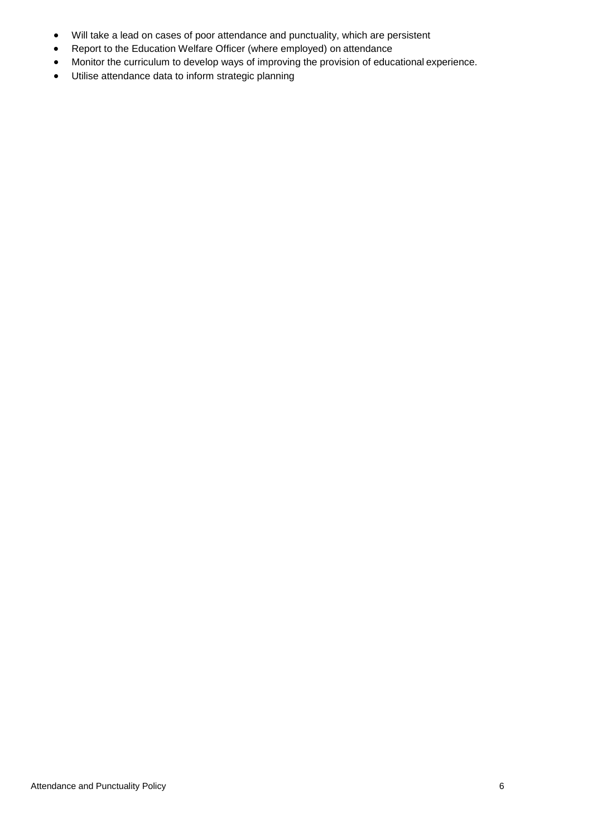- Will take a lead on cases of poor attendance and punctuality, which are persistent
- Report to the Education Welfare Officer (where employed) on attendance
- Monitor the curriculum to develop ways of improving the provision of educational experience.
- Utilise attendance data to inform strategic planning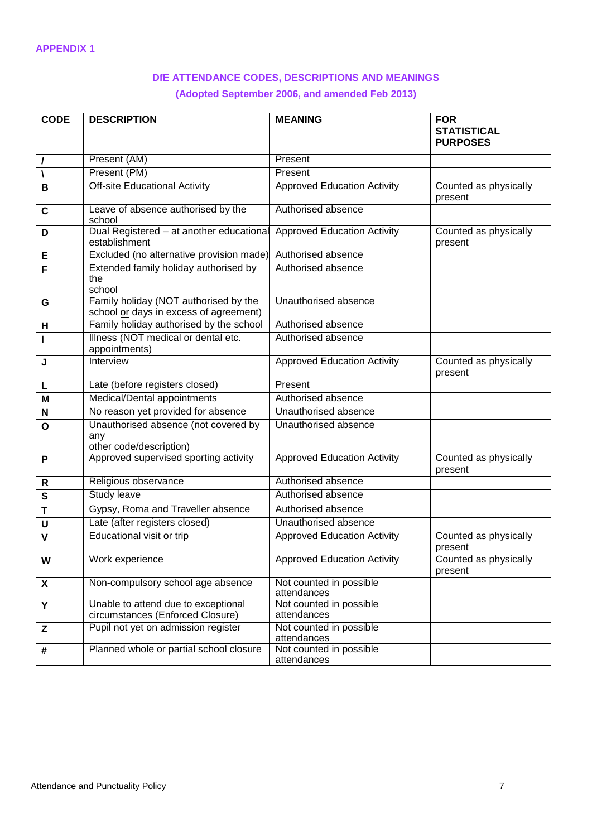## **DfE ATTENDANCE CODES, DESCRIPTIONS AND MEANINGS**

## **(Adopted September 2006, and amended Feb 2013)**

| <b>CODE</b>  | <b>DESCRIPTION</b>                                                              | <b>MEANING</b>                         | <b>FOR</b><br><b>STATISTICAL</b><br><b>PURPOSES</b> |  |  |
|--------------|---------------------------------------------------------------------------------|----------------------------------------|-----------------------------------------------------|--|--|
| I            | Present (AM)                                                                    | Present                                |                                                     |  |  |
|              | Present (PM)                                                                    | Present                                |                                                     |  |  |
| B            | <b>Off-site Educational Activity</b>                                            | <b>Approved Education Activity</b>     | Counted as physically<br>present                    |  |  |
| $\mathbf c$  | Leave of absence authorised by the<br>school                                    | Authorised absence                     |                                                     |  |  |
| D            | Dual Registered - at another educational<br>establishment                       | <b>Approved Education Activity</b>     | Counted as physically<br>present                    |  |  |
| Е            | Excluded (no alternative provision made)                                        | Authorised absence                     |                                                     |  |  |
| F            | Extended family holiday authorised by<br>the<br>school                          | Authorised absence                     |                                                     |  |  |
| G            | Family holiday (NOT authorised by the<br>school or days in excess of agreement) | Unauthorised absence                   |                                                     |  |  |
| н            | Family holiday authorised by the school                                         | Authorised absence                     |                                                     |  |  |
| L            | Illness (NOT medical or dental etc.<br>appointments)                            | Authorised absence                     |                                                     |  |  |
| J            | Interview                                                                       | <b>Approved Education Activity</b>     | Counted as physically<br>present                    |  |  |
| L            | Late (before registers closed)                                                  | Present                                |                                                     |  |  |
| M            | <b>Medical/Dental appointments</b>                                              | Authorised absence                     |                                                     |  |  |
| N            | No reason yet provided for absence                                              | Unauthorised absence                   |                                                     |  |  |
| $\mathbf{o}$ | Unauthorised absence (not covered by<br>any<br>other code/description)          | Unauthorised absence                   |                                                     |  |  |
| P            | Approved supervised sporting activity                                           | <b>Approved Education Activity</b>     | Counted as physically<br>present                    |  |  |
| R            | Religious observance                                                            | Authorised absence                     |                                                     |  |  |
| S            | <b>Study leave</b>                                                              | Authorised absence                     |                                                     |  |  |
| T            | Gypsy, Roma and Traveller absence                                               | Authorised absence                     |                                                     |  |  |
| U            | Late (after registers closed)                                                   | Unauthorised absence                   |                                                     |  |  |
| $\mathbf v$  | Educational visit or trip                                                       | <b>Approved Education Activity</b>     | Counted as physically<br>present                    |  |  |
| W            | Work experience                                                                 | <b>Approved Education Activity</b>     | Counted as physically<br>present                    |  |  |
| X            | Non-compulsory school age absence                                               | Not counted in possible<br>attendances |                                                     |  |  |
| Y            | Unable to attend due to exceptional<br>circumstances (Enforced Closure)         | Not counted in possible<br>attendances |                                                     |  |  |
| Z            | Pupil not yet on admission register                                             | Not counted in possible<br>attendances |                                                     |  |  |
| #            | Planned whole or partial school closure                                         | Not counted in possible<br>attendances |                                                     |  |  |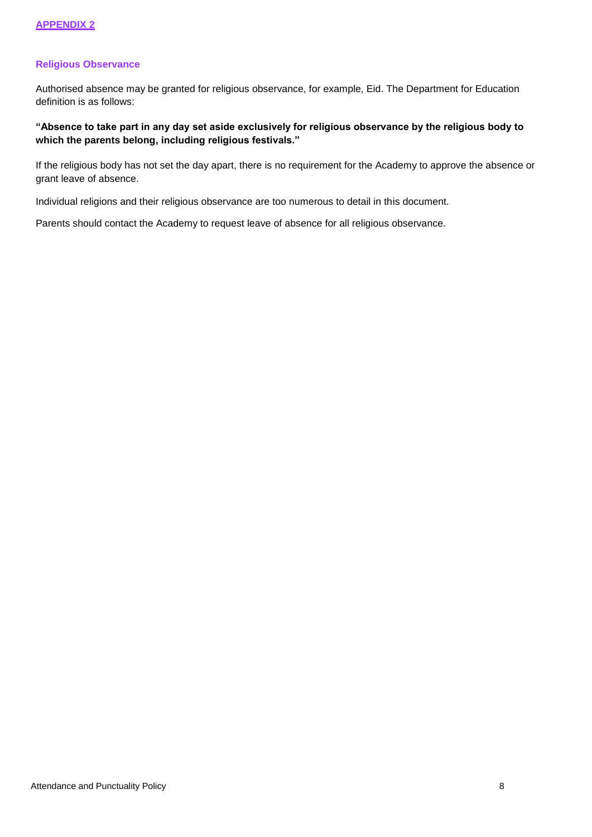## **Religious Observance**

Authorised absence may be granted for religious observance, for example, Eid. The Department for Education definition is as follows:

## **"Absence to take part in any day set aside exclusively for religious observance by the religious body to which the parents belong, including religious festivals."**

If the religious body has not set the day apart, there is no requirement for the Academy to approve the absence or grant leave of absence.

Individual religions and their religious observance are too numerous to detail in this document.

Parents should contact the Academy to request leave of absence for all religious observance.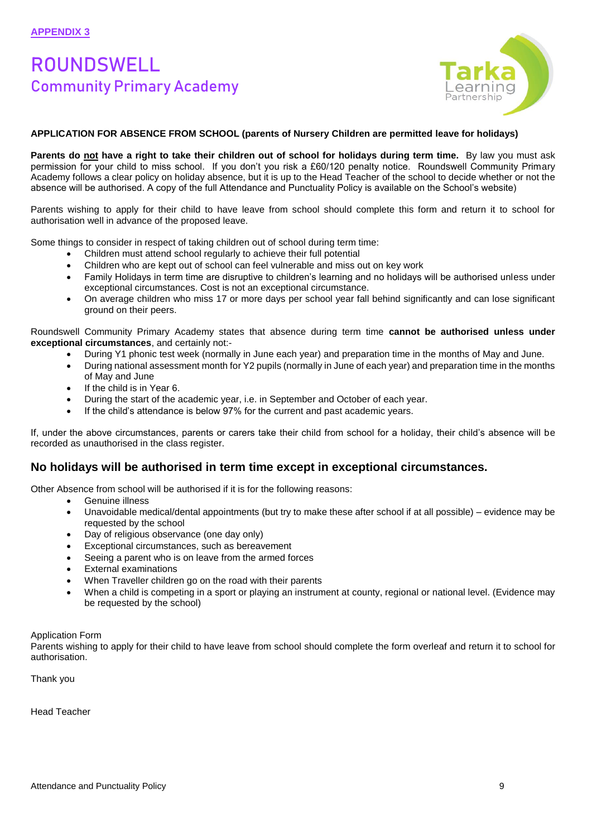# ROUNDSWELL Community Primary Academy



#### **APPLICATION FOR ABSENCE FROM SCHOOL (parents of Nursery Children are permitted leave for holidays)**

**Parents do not have a right to take their children out of school for holidays during term time.** By law you must ask permission for your child to miss school. If you don't you risk a £60/120 penalty notice. Roundswell Community Primary Academy follows a clear policy on holiday absence, but it is up to the Head Teacher of the school to decide whether or not the absence will be authorised. A copy of the full Attendance and Punctuality Policy is available on the School's website)

Parents wishing to apply for their child to have leave from school should complete this form and return it to school for authorisation well in advance of the proposed leave.

Some things to consider in respect of taking children out of school during term time:

- Children must attend school regularly to achieve their full potential
- Children who are kept out of school can feel vulnerable and miss out on key work
- Family Holidays in term time are disruptive to children's learning and no holidays will be authorised unless under exceptional circumstances. Cost is not an exceptional circumstance.
- On average children who miss 17 or more days per school year fall behind significantly and can lose significant ground on their peers.

Roundswell Community Primary Academy states that absence during term time **cannot be authorised unless under exceptional circumstances**, and certainly not:-

- During Y1 phonic test week (normally in June each year) and preparation time in the months of May and June.
- During national assessment month for Y2 pupils (normally in June of each year) and preparation time in the months of May and June
- If the child is in Year 6.
- During the start of the academic year, i.e. in September and October of each year.
- If the child's attendance is below 97% for the current and past academic years.

If, under the above circumstances, parents or carers take their child from school for a holiday, their child's absence will be recorded as unauthorised in the class register.

## **No holidays will be authorised in term time except in exceptional circumstances.**

Other Absence from school will be authorised if it is for the following reasons:

- Genuine illness
- Unavoidable medical/dental appointments (but try to make these after school if at all possible) evidence may be requested by the school
- Day of religious observance (one day only)
- Exceptional circumstances, such as bereavement
- Seeing a parent who is on leave from the armed forces
- **External examinations**
- When Traveller children go on the road with their parents
- When a child is competing in a sport or playing an instrument at county, regional or national level. (Evidence may be requested by the school)

#### Application Form

Parents wishing to apply for their child to have leave from school should complete the form overleaf and return it to school for authorisation.

Thank you

Head Teacher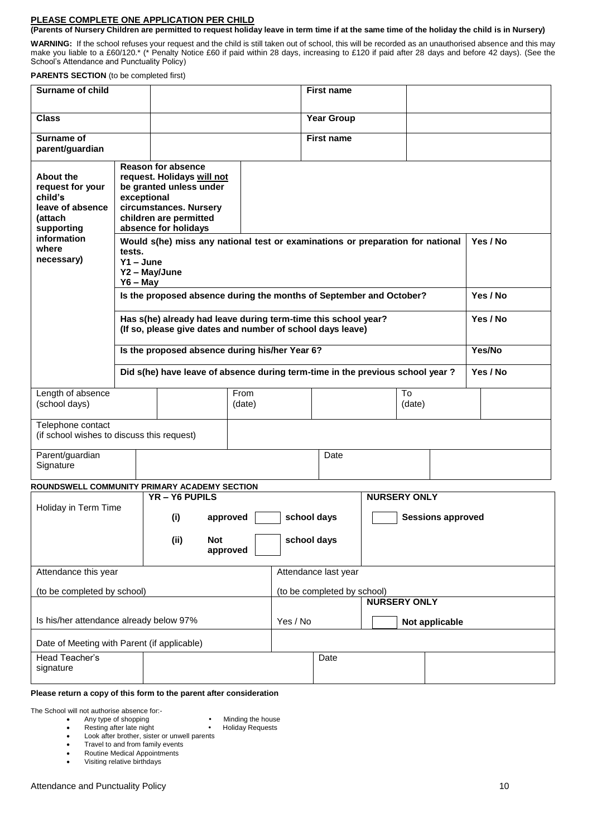#### **PLEASE COMPLETE ONE APPLICATION PER CHILD**

#### **(Parents of Nursery Children are permitted to request holiday leave in term time if at the same time of the holiday the child is in Nursery)**

**WARNING:** If the school refuses your request and the child is still taken out of school, this will be recorded as an unauthorised absence and this may make you liable to a £60/120.\* (\* Penalty Notice £60 if paid within 28 days, increasing to £120 if paid after 28 days and before 42 days). (See the School's Attendance and Punctuality Policy)

**PARENTS SECTION** (to be completed first)

| Surname of child                                                                                                                          |                                                                                                              |                                                                                                                                                                |                      |                                                                                | <b>First name</b> |                          |          |          |                      |  |
|-------------------------------------------------------------------------------------------------------------------------------------------|--------------------------------------------------------------------------------------------------------------|----------------------------------------------------------------------------------------------------------------------------------------------------------------|----------------------|--------------------------------------------------------------------------------|-------------------|--------------------------|----------|----------|----------------------|--|
| <b>Class</b>                                                                                                                              |                                                                                                              |                                                                                                                                                                |                      |                                                                                | <b>Year Group</b> |                          |          |          |                      |  |
| <b>Surname of</b><br>parent/guardian                                                                                                      |                                                                                                              |                                                                                                                                                                | <b>First name</b>    |                                                                                |                   |                          |          |          |                      |  |
| <b>About the</b><br>request for your<br>child's<br>leave of absence<br><b>(attach</b><br>supporting<br>information<br>where<br>necessary) | exceptional<br>tests.<br>$Y1 - June$<br>Y2 - May/June<br>$Y6 - May$                                          | <b>Reason for absence</b><br>request. Holidays will not<br>be granted unless under<br>circumstances. Nursery<br>children are permitted<br>absence for holidays |                      | Would s(he) miss any national test or examinations or preparation for national |                   |                          |          | Yes / No |                      |  |
|                                                                                                                                           |                                                                                                              | Is the proposed absence during the months of September and October?<br>Has s(he) already had leave during term-time this school year?                          |                      |                                                                                |                   |                          |          |          | Yes / No<br>Yes / No |  |
|                                                                                                                                           | (If so, please give dates and number of school days leave)<br>Is the proposed absence during his/her Year 6? |                                                                                                                                                                |                      |                                                                                |                   |                          | Yes/No   |          |                      |  |
|                                                                                                                                           | Did s(he) have leave of absence during term-time in the previous school year?                                |                                                                                                                                                                |                      |                                                                                |                   |                          | Yes / No |          |                      |  |
| Length of absence<br>(school days)                                                                                                        |                                                                                                              |                                                                                                                                                                |                      | To<br>(date)                                                                   |                   |                          |          |          |                      |  |
| Telephone contact<br>(if school wishes to discuss this request)                                                                           |                                                                                                              |                                                                                                                                                                |                      |                                                                                |                   |                          |          |          |                      |  |
| Parent/guardian<br>Signature                                                                                                              |                                                                                                              |                                                                                                                                                                |                      | Date                                                                           |                   |                          |          |          |                      |  |
| ROUNDSWELL COMMUNITY PRIMARY ACADEMY SECTION                                                                                              |                                                                                                              |                                                                                                                                                                | <b>NURSERY ONLY</b>  |                                                                                |                   |                          |          |          |                      |  |
| Holiday in Term Time                                                                                                                      |                                                                                                              | YR-Y6 PUPILS<br>(i)<br>approved                                                                                                                                | school days          |                                                                                |                   | <b>Sessions approved</b> |          |          |                      |  |
|                                                                                                                                           |                                                                                                              | (ii)<br><b>Not</b>                                                                                                                                             | approved             |                                                                                | school days       |                          |          |          |                      |  |
| Attendance this year                                                                                                                      |                                                                                                              |                                                                                                                                                                | Attendance last year |                                                                                |                   |                          |          |          |                      |  |
| (to be completed by school)                                                                                                               |                                                                                                              |                                                                                                                                                                |                      | (to be completed by school)<br><b>NURSERY ONLY</b>                             |                   |                          |          |          |                      |  |
| Is his/her attendance already below 97%                                                                                                   |                                                                                                              |                                                                                                                                                                | Yes / No             | Not applicable                                                                 |                   |                          |          |          |                      |  |
| Date of Meeting with Parent (if applicable)                                                                                               |                                                                                                              |                                                                                                                                                                |                      |                                                                                |                   |                          |          |          |                      |  |
| Head Teacher's<br>signature                                                                                                               |                                                                                                              |                                                                                                                                                                |                      | Date                                                                           |                   |                          |          |          |                      |  |

#### **Please return a copy of this form to the parent after consideration**

The School will not authorise absence for:-

- Any type of shopping **•** Minding the house<br>• Resting after late night **•** Holiday Requests
	-
- Resting after late night<br>• Look after brother, siste • Look after brother, sister or unwell parents<br>• Travel to and from family events
- Travel to and from family events
- Routine Medical Appointments<br>• Visiting relative birthdays • Visiting relative birthdays
-